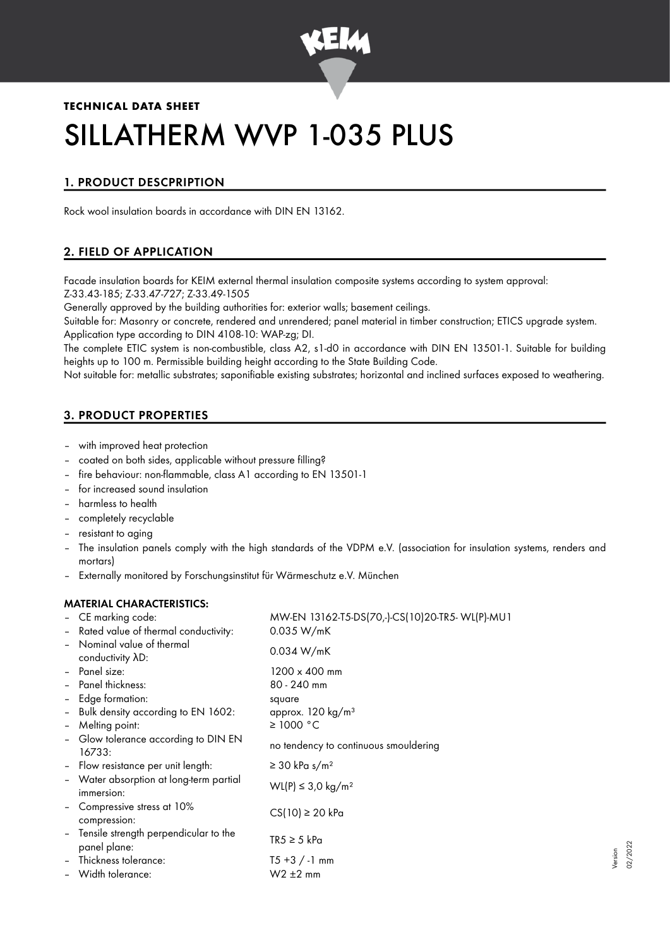

# **TECHNICAL DATA SHEET** SILLATHERM WVP 1-035 PLUS

# 1. PRODUCT DESCPRIPTION

Rock wool insulation boards in accordance with DIN EN 13162.

# 2. FIELD OF APPLICATION

Facade insulation boards for KEIM external thermal insulation composite systems according to system approval: Z-33.43-185; Z-33.47-727; Z-33.49-1505

Generally approved by the building authorities for: exterior walls; basement ceilings.

Suitable for: Masonry or concrete, rendered and unrendered; panel material in timber construction; ETICS upgrade system. Application type according to DIN 4108-10: WAP-zg; DI.

The complete ETIC system is non-combustible, class A2, s1-d0 in accordance with DIN EN 13501-1. Suitable for building heights up to 100 m. Permissible building height according to the State Building Code.

Not suitable for: metallic substrates; saponifiable existing substrates; horizontal and inclined surfaces exposed to weathering.

# 3. PRODUCT PROPERTIES

- with improved heat protection
- coated on both sides, applicable without pressure filling?
- fire behaviour: non-flammable, class A1 according to EN 13501-1
- for increased sound insulation
- harmless to health
- completely recyclable
- resistant to aging
- The insulation panels comply with the high standards of the VDPM e.V. (association for insulation systems, renders and mortars)
- Externally monitored by Forschungsinstitut für Wärmeschutz e.V. München

## MATERIAL CHARACTERISTICS:

|                          | - CE marking code:                           | MW-EN 13162-T5-DS(70,-)-CS(10)20-TR5-WL(P)-MU1 |  |
|--------------------------|----------------------------------------------|------------------------------------------------|--|
|                          | - Rated value of thermal conductivity:       | 0.035 W/mK                                     |  |
| $\overline{\phantom{a}}$ | Nominal value of thermal<br>conductivity AD: | 0.034 W/mK                                     |  |
| $\overline{\phantom{a}}$ | Panel size:                                  | $1200 \times 400$ mm                           |  |
|                          |                                              |                                                |  |
| $\overline{\phantom{a}}$ | Panel thickness:                             | $80 - 240$ mm                                  |  |
| $\overline{\phantom{a}}$ | Edge formation:                              | square                                         |  |
| $\overline{a}$           | Bulk density according to EN 1602:           | approx. $120 \text{ kg/m}^3$                   |  |
| $\overline{\phantom{a}}$ | Melting point:                               | $\geq$ 1000 °C                                 |  |
|                          | - Glow tolerance according to DIN EN         |                                                |  |
|                          | 16733:                                       | no tendency to continuous smouldering          |  |
| $\overline{a}$           | Flow resistance per unit length:             | $\geq$ 30 kPa s/m <sup>2</sup>                 |  |
|                          | - Water absorption at long-term partial      |                                                |  |
|                          | immersion:                                   | WL(P) ≤ 3,0 kg/m <sup>2</sup>                  |  |
|                          | - Compressive stress at 10%                  |                                                |  |
|                          | compression:                                 | $CS(10) \ge 20$ kPa                            |  |
|                          | - Tensile strength perpendicular to the      |                                                |  |
|                          | panel plane:                                 | $TR5 \geq 5$ kPa                               |  |
|                          | Thickness tolerance:                         | $T5 + 3$ / -1 mm                               |  |
|                          | Width tolerance:                             | $W2 \pm 2$ mm                                  |  |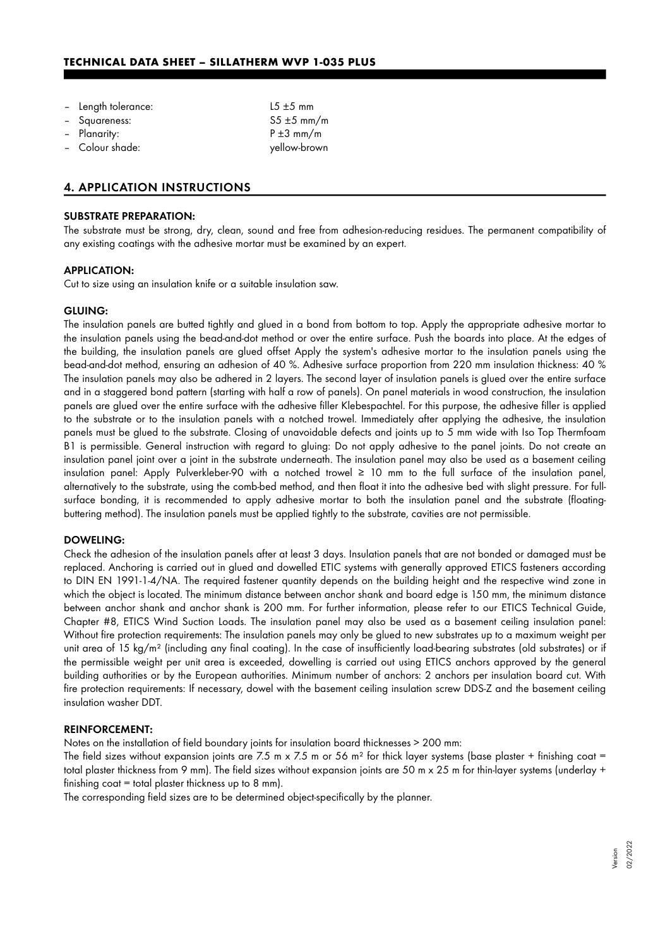| - Length tolerance: | $15 \pm 5$ mm   |
|---------------------|-----------------|
| - Squareness:       | $55 \pm 5$ mm/m |
| - Planarity:        | $P \pm 3$ mm/m  |
| - Colour shade:     | yellow-brown    |

### 4. APPLICATION INSTRUCTIONS

## SUBSTRATE PREPARATION:

The substrate must be strong, dry, clean, sound and free from adhesion-reducing residues. The permanent compatibility of any existing coatings with the adhesive mortar must be examined by an expert.

#### APPLICATION:

Cut to size using an insulation knife or a suitable insulation saw.

#### GLUING:

The insulation panels are butted tightly and glued in a bond from bottom to top. Apply the appropriate adhesive mortar to the insulation panels using the bead-and-dot method or over the entire surface. Push the boards into place. At the edges of the building, the insulation panels are glued offset Apply the system's adhesive mortar to the insulation panels using the bead-and-dot method, ensuring an adhesion of 40 %. Adhesive surface proportion from 220 mm insulation thickness: 40 % The insulation panels may also be adhered in 2 layers. The second layer of insulation panels is glued over the entire surface and in a staggered bond pattern (starting with half a row of panels). On panel materials in wood construction, the insulation panels are glued over the entire surface with the adhesive filler Klebespachtel. For this purpose, the adhesive filler is applied to the substrate or to the insulation panels with a notched trowel. Immediately after applying the adhesive, the insulation panels must be glued to the substrate. Closing of unavoidable defects and joints up to 5 mm wide with Iso Top Thermfoam B1 is permissible. General instruction with regard to gluing: Do not apply adhesive to the panel joints. Do not create an insulation panel joint over a joint in the substrate underneath. The insulation panel may also be used as a basement ceiling insulation panel: Apply Pulverkleber-90 with a notched trowel ≥ 10 mm to the full surface of the insulation panel, alternatively to the substrate, using the comb-bed method, and then float it into the adhesive bed with slight pressure. For fullsurface bonding, it is recommended to apply adhesive mortar to both the insulation panel and the substrate (floatingbuttering method). The insulation panels must be applied tightly to the substrate, cavities are not permissible.

#### DOWELING:

Check the adhesion of the insulation panels after at least 3 days. Insulation panels that are not bonded or damaged must be replaced. Anchoring is carried out in glued and dowelled ETIC systems with generally approved ETICS fasteners according to DIN EN 1991-1-4/NA. The required fastener quantity depends on the building height and the respective wind zone in which the object is located. The minimum distance between anchor shank and board edge is 150 mm, the minimum distance between anchor shank and anchor shank is 200 mm. For further information, please refer to our ETICS Technical Guide, Chapter #8, ETICS Wind Suction Loads. The insulation panel may also be used as a basement ceiling insulation panel: Without fire protection requirements: The insulation panels may only be glued to new substrates up to a maximum weight per unit area of 15 kg/m² (including any final coating). In the case of insufficiently load-bearing substrates (old substrates) or if the permissible weight per unit area is exceeded, dowelling is carried out using ETICS anchors approved by the general building authorities or by the European authorities. Minimum number of anchors: 2 anchors per insulation board cut. With fire protection requirements: If necessary, dowel with the basement ceiling insulation screw DDS-Z and the basement ceiling insulation washer DDT.

#### REINFORCEMENT:

Notes on the installation of field boundary joints for insulation board thicknesses > 200 mm:

The field sizes without expansion joints are 7.5 m x 7.5 m or 56 m<sup>2</sup> for thick layer systems (base plaster + finishing coat = total plaster thickness from 9 mm). The field sizes without expansion joints are 50 m x 25 m for thin-layer systems (underlay + finishing  $\cot = \cot \theta$  plaster thickness up to 8 mm).

The corresponding field sizes are to be determined object-specifically by the planner.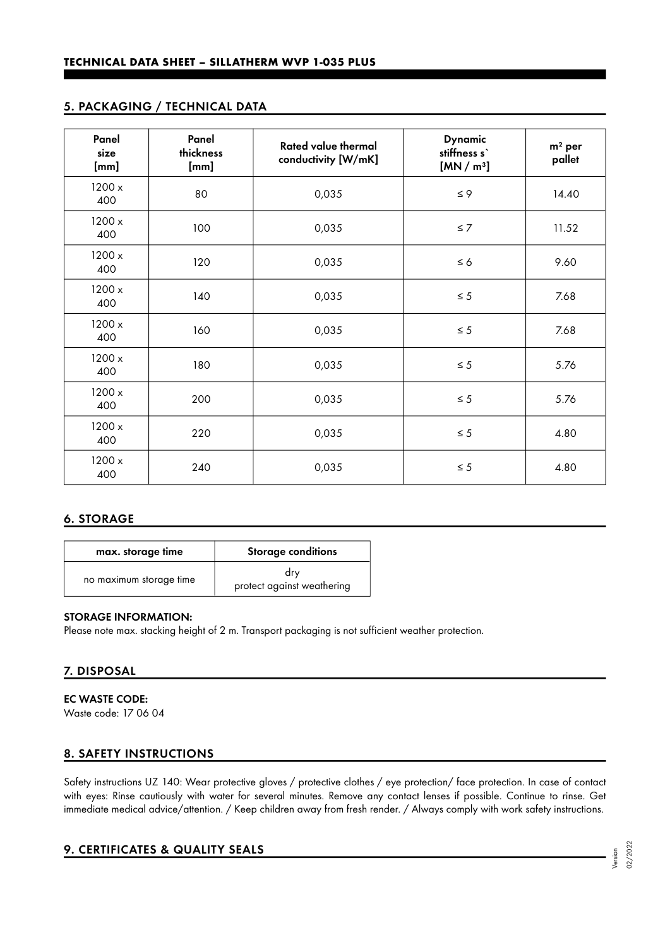# 5. PACKAGING / TECHNICAL DATA

| Panel<br>size<br>[mm] | Panel<br>thickness<br>[mm] | <b>Rated value thermal</b><br>conductivity [W/mK] | <b>Dynamic</b><br>stiffness s`<br>[MN/m <sup>3</sup> ] | $m2$ per<br>pallet |
|-----------------------|----------------------------|---------------------------------------------------|--------------------------------------------------------|--------------------|
| 1200 x<br>400         | 80                         | 0,035                                             | $\leq 9$                                               | 14.40              |
| 1200 x<br>400         | 100                        | 0,035                                             | $\leq 7$                                               | 11.52              |
| 1200 x<br>400         | 120                        | 0,035                                             | $\leq 6$                                               | 9.60               |
| 1200 x<br>400         | 140                        | 0,035                                             | $\leq 5$                                               | 7.68               |
| 1200 x<br>400         | 160                        | 0,035                                             | $\leq 5$                                               | 7.68               |
| 1200 x<br>400         | 180                        | 0,035                                             | $\leq 5$                                               | 5.76               |
| 1200 x<br>400         | 200                        | 0,035                                             | $\leq 5$                                               | 5.76               |
| 1200 x<br>400         | 220                        | 0,035                                             | $\leq 5$                                               | 4.80               |
| 1200 x<br>400         | 240                        | 0,035                                             | $\leq 5$                                               | 4.80               |

# 6. STORAGE

| max. storage time       | <b>Storage conditions</b>         |
|-------------------------|-----------------------------------|
| no maximum storage time | drv<br>protect against weathering |

## STORAGE INFORMATION:

Please note max. stacking height of 2 m. Transport packaging is not sufficient weather protection.

# 7. DISPOSAL

EC WASTE CODE: Waste code: 17 06 04

## 8. SAFETY INSTRUCTIONS

Safety instructions UZ 140: Wear protective gloves / protective clothes / eye protection/ face protection. In case of contact with eyes: Rinse cautiously with water for several minutes. Remove any contact lenses if possible. Continue to rinse. Get immediate medical advice/attention. / Keep children away from fresh render. / Always comply with work safety instructions.

## 9. CERTIFICATES & QUALITY SEALS